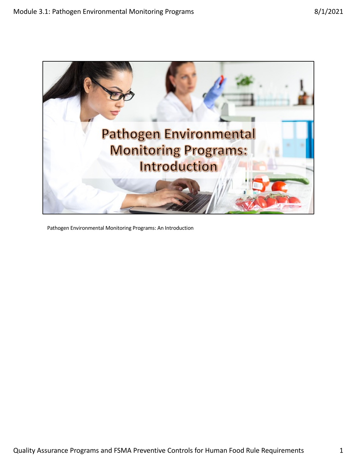

Pathogen Environmental Monitoring Programs: An Introduction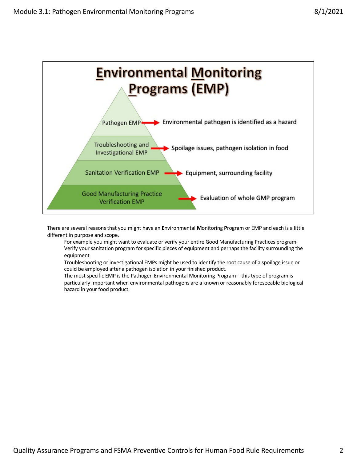

There are several reasons that you might have an **E**nvironmental **M**onitoring **P**rogram or EMP and each is a little different in purpose and scope.

For example you might want to evaluate or verify your entire Good Manufacturing Practices program. Verify your sanitation program for specific pieces of equipment and perhaps the facility surrounding the equipment

Troubleshooting or investigational EMPs might be used to identify the root cause of a spoilage issue or could be employed after a pathogen isolation in your finished product.

The most specific EMP is the Pathogen Environmental Monitoring Program – this type of program is particularly important when environmental pathogens are a known or reasonably foreseeable biological hazard in your food product.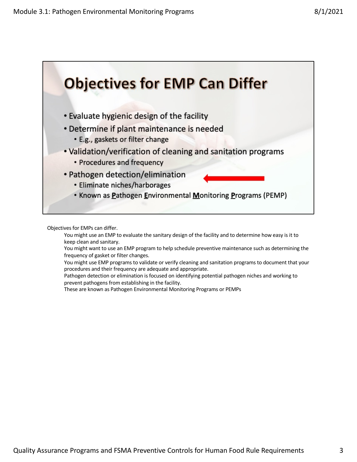

Objectives for EMPs can differ.

You might use an EMP to evaluate the sanitary design of the facility and to determine how easy is it to keep clean and sanitary.

You might want to use an EMP program to help schedule preventive maintenance such as determining the frequency of gasket or filter changes.

You might use EMP programs to validate or verify cleaning and sanitation programs to document that your procedures and their frequency are adequate and appropriate.

Pathogen detection or elimination is focused on identifying potential pathogen niches and working to prevent pathogens from establishing in the facility.

These are known as Pathogen Environmental Monitoring Programs or PEMPs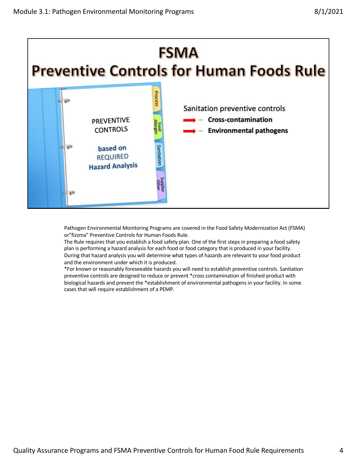

Pathogen Environmental Monitoring Programs are covered in the Food Safety Modernization Act (FSMA) or"fizzma" Preventive Controls for Human Foods Rule.

The Rule requires that you establish a food safety plan. One of the first steps in preparing a food safety plan is performing a hazard analysis for each food or food category that is produced in your facility. During that hazard analysis you will determine what types of hazards are relevant to your food product and the environment under which it is produced.

\*For known or reasonably foreseeable hazards you will need to establish preventive controls. Sanitation preventive controls are designed to reduce or prevent \*cross contamination of finished product with biological hazards and prevent the \*establishment of environmental pathogens in your facility. In some cases that will require establishment of a PEMP.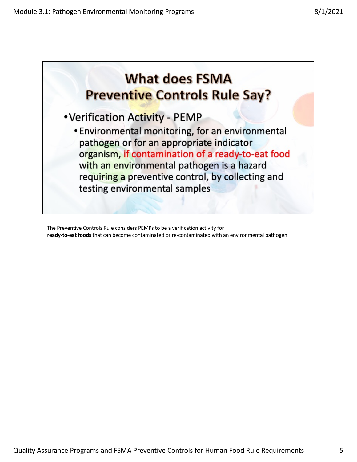

The Preventive Controls Rule considers PEMPs to be a verification activity for **ready-to-eat foods** that can become contaminated or re-contaminated with an environmental pathogen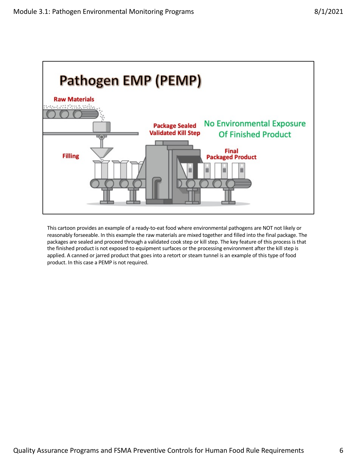

This cartoon provides an example of a ready-to-eat food where environmental pathogens are NOT not likely or reasonably forseeable. In this example the raw materials are mixed together and filled into the final package. The packages are sealed and proceed through a validated cook step or kill step. The key feature of this process is that the finished product is not exposed to equipment surfaces or the processing environment after the kill step is applied. A canned or jarred product that goes into a retort or steam tunnel is an example of this type of food product. In this case a PEMP is not required.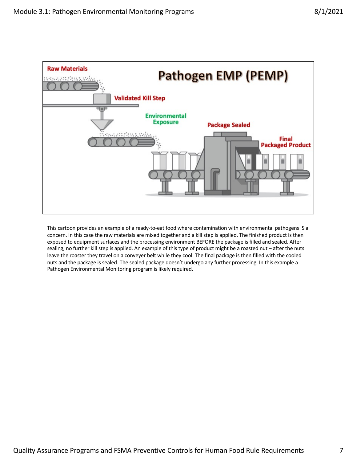

This cartoon provides an example of a ready-to-eat food where contamination with environmental pathogens IS a concern. In this case the raw materials are mixed together and a kill step is applied. The finished product is then exposed to equipment surfaces and the processing environment BEFORE the package is filled and sealed. After sealing, no further kill step is applied. An example of this type of product might be a roasted nut – after the nuts leave the roaster they travel on a conveyer belt while they cool. The final package is then filled with the cooled nuts and the package is sealed. The sealed package doesn't undergo any further processing. In this example a Pathogen Environmental Monitoring program is likely required.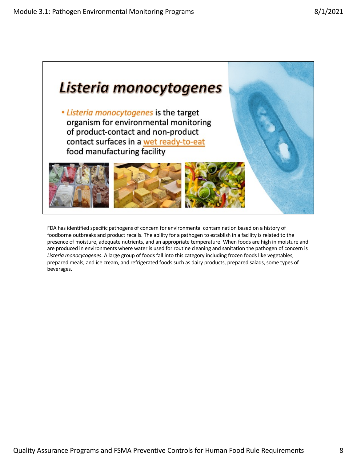

FDA has identified specific pathogens of concern for environmental contamination based on a history of foodborne outbreaks and product recalls. The ability for a pathogen to establish in a facility is related to the presence of moisture, adequate nutrients, and an appropriate temperature. When foods are high in moisture and are produced in environments where water is used for routine cleaning and sanitation the pathogen of concern is *Listeria monocytogenes*. A large group of foods fall into this category including frozen foods like vegetables, prepared meals, and ice cream, and refrigerated foods such as dairy products, prepared salads, some types of beverages.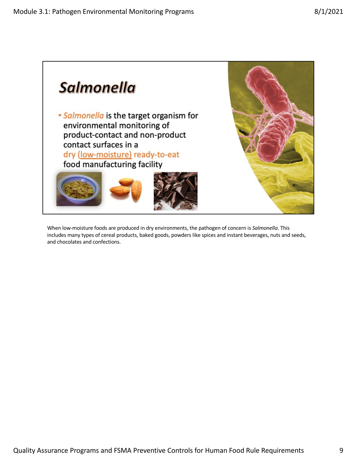

When low-moisture foods are produced in dry environments, the pathogen of concern is *Salmonella*. This includes many types of cereal products, baked goods, powders like spices and instant beverages, nuts and seeds, and chocolates and confections.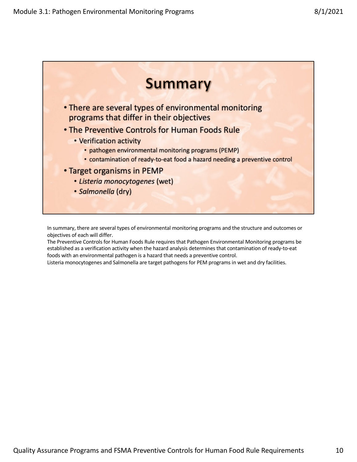

In summary, there are several types of environmental monitoring programs and the structure and outcomes or objectives of each will differ.

The Preventive Controls for Human Foods Rule requires that Pathogen Environmental Monitoring programs be established as a verification activity when the hazard analysis determines that contamination of ready-to-eat foods with an environmental pathogen is a hazard that needs a preventive control.

Listeria monocytogenes and Salmonella are target pathogens for PEM programs in wet and dry facilities.